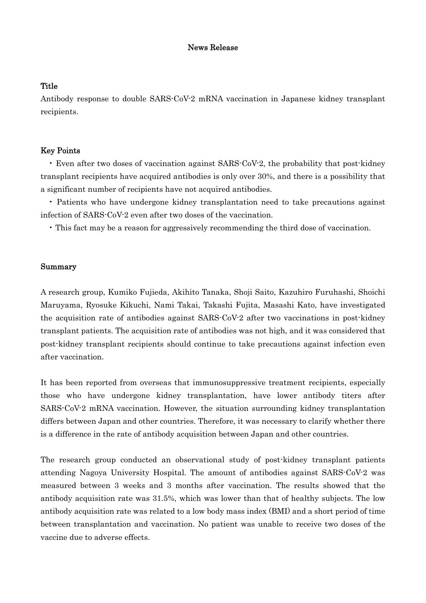## News Release

## **Title**

Antibody response to double SARS-CoV-2 mRNA vaccination in Japanese kidney transplant recipients.

# Key Points

• Even after two doses of vaccination against SARS-CoV-2, the probability that post-kidney transplant recipients have acquired antibodies is only over 30%, and there is a possibility that a significant number of recipients have not acquired antibodies.

• Patients who have undergone kidney transplantation need to take precautions against infection of SARS-CoV-2 even after two doses of the vaccination.

• This fact may be a reason for aggressively recommending the third dose of vaccination.

### Summary

A research group, Kumiko Fujieda, Akihito Tanaka, Shoji Saito, Kazuhiro Furuhashi, Shoichi Maruyama, Ryosuke Kikuchi, Nami Takai, Takashi Fujita, Masashi Kato, have investigated the acquisition rate of antibodies against SARS-CoV-2 after two vaccinations in post-kidney transplant patients. The acquisition rate of antibodies was not high, and it was considered that post-kidney transplant recipients should continue to take precautions against infection even after vaccination.

It has been reported from overseas that immunosuppressive treatment recipients, especially those who have undergone kidney transplantation, have lower antibody titers after SARS-CoV-2 mRNA vaccination. However, the situation surrounding kidney transplantation differs between Japan and other countries. Therefore, it was necessary to clarify whether there is a difference in the rate of antibody acquisition between Japan and other countries.

The research group conducted an observational study of post-kidney transplant patients attending Nagoya University Hospital. The amount of antibodies against SARS-CoV-2 was measured between 3 weeks and 3 months after vaccination. The results showed that the antibody acquisition rate was 31.5%, which was lower than that of healthy subjects. The low antibody acquisition rate was related to a low body mass index (BMI) and a short period of time between transplantation and vaccination. No patient was unable to receive two doses of the vaccine due to adverse effects.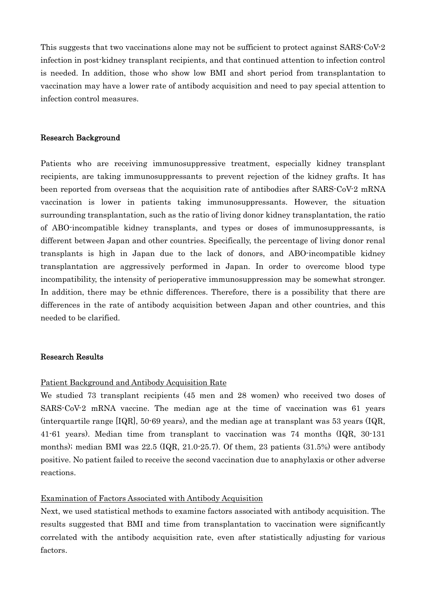This suggests that two vaccinations alone may not be sufficient to protect against SARS-CoV-2 infection in post-kidney transplant recipients, and that continued attention to infection control is needed. In addition, those who show low BMI and short period from transplantation to vaccination may have a lower rate of antibody acquisition and need to pay special attention to infection control measures.

### Research Background

Patients who are receiving immunosuppressive treatment, especially kidney transplant recipients, are taking immunosuppressants to prevent rejection of the kidney grafts. It has been reported from overseas that the acquisition rate of antibodies after SARS-CoV-2 mRNA vaccination is lower in patients taking immunosuppressants. However, the situation surrounding transplantation, such as the ratio of living donor kidney transplantation, the ratio of ABO-incompatible kidney transplants, and types or doses of immunosuppressants, is different between Japan and other countries. Specifically, the percentage of living donor renal transplants is high in Japan due to the lack of donors, and ABO-incompatible kidney transplantation are aggressively performed in Japan. In order to overcome blood type incompatibility, the intensity of perioperative immunosuppression may be somewhat stronger. In addition, there may be ethnic differences. Therefore, there is a possibility that there are differences in the rate of antibody acquisition between Japan and other countries, and this needed to be clarified.

## Research Results

#### Patient Background and Antibody Acquisition Rate

We studied 73 transplant recipients (45 men and 28 women) who received two doses of SARS-CoV-2 mRNA vaccine. The median age at the time of vaccination was 61 years (interquartile range [IQR], 50-69 years), and the median age at transplant was 53 years (IQR, 41-61 years). Median time from transplant to vaccination was 74 months (IQR, 30-131 months); median BMI was  $22.5$  (IQR,  $21.0\n-25.7$ ). Of them, 23 patients (31.5%) were antibody positive. No patient failed to receive the second vaccination due to anaphylaxis or other adverse reactions.

### Examination of Factors Associated with Antibody Acquisition

Next, we used statistical methods to examine factors associated with antibody acquisition. The results suggested that BMI and time from transplantation to vaccination were significantly correlated with the antibody acquisition rate, even after statistically adjusting for various factors.